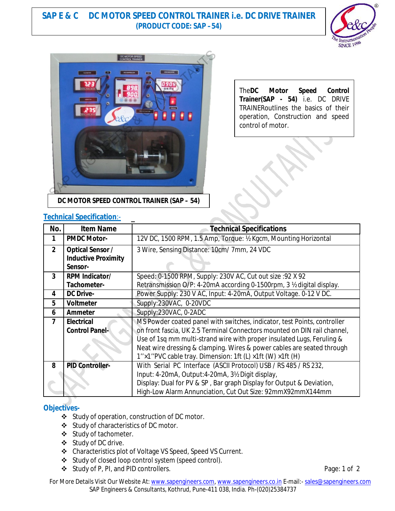# **SAP E & C DC MOTOR SPEED CONTROL TRAINER i.e. DC DRIVE TRAINER (PRODUCT CODE: SAP –54)**





The**DC Motor Speed Control Trainer(SAP - 54)** i.e. DC DRIVE TRAINERoutlines the basics of their operation, Construction and speed control of motor.

## **Technical Specification**:-

| rcommudi opcomuditom. |                            |                                                                          |
|-----------------------|----------------------------|--------------------------------------------------------------------------|
| No.                   | <b>Item Name</b>           | <b>Technical Specifications</b>                                          |
| 1                     | <b>PMDC Motor-</b>         | 12V DC, 1500 RPM, 1.5 Amp, Torque: 1/2 Kgcm, Mounting Horizontal         |
| 2 <sup>1</sup>        | <b>Optical Sensor /</b>    | 3 Wire, Sensing Distance: 10cm/7mm, 24 VDC                               |
|                       | <b>Inductive Proximity</b> |                                                                          |
|                       | Sensor-                    |                                                                          |
| $\overline{3}$        | <b>RPM Indicator/</b>      | Speed: 0-1500 RPM, Supply: 230V AC, Cut out size : 92 X 92               |
|                       | Tachometer-                | Retransmission O/P: 4-20mA according 0-1500rpm, 3 ½ digital display.     |
| 4                     | <b>DC Drive-</b>           | Power Supply: 230 V AC, Input: 4-20mA, Output Voltage. 0-12 V DC.        |
| 5                     | <b>Voltmeter</b>           | Supply:230VAC, 0-20VDC                                                   |
| 6                     | <b>Ammeter</b>             | Supply:230VAC, 0-2ADC                                                    |
| 7                     | <b>Electrical</b>          | MS Powder coated panel with switches, indicator, test Points, controller |
|                       | <b>Control Panel-</b>      | on front fascia, UK 2.5 Terminal Connectors mounted on DIN rail channel, |
|                       |                            | Use of 1sq mm multi-strand wire with proper insulated Lugs, Feruling &   |
|                       |                            | Neat wire dressing & clamping. Wires & power cables are seated through   |
|                       |                            | 1"×1"PVC cable tray. Dimension: 1ft (L) ×1ft (W) ×1ft (H)                |
| 8                     | <b>PID Controller-</b>     | With Serial PC Interface (ASCII Protocol) USB / RS 485 / RS 232,         |
|                       |                            | Input: 4-20mA, Output: 4-20mA, 3½ Digit display,                         |
|                       |                            | Display: Dual for PV & SP, Bar graph Display for Output & Deviation,     |
|                       |                            | High-Low Alarm Annunciation, Cut Out Size: 92mmX92mmX144mm               |

### **Objectives-**

- Study of operation, construction of DC motor.
- Study of characteristics of DC motor.
- Study of tachometer.
- Study of DC drive.
- Characteristics plot of Voltage VS Speed, Speed VS Current.
- Study of closed loop control system (speed control).
- ◆ Study of P, PI, and PID controllers. example to the study of P, Pi and PiD controllers.

For More Details Visit Our Website At: www.sapengineers.com, www.sapengineers.co.in E-mail:- sales@sapengineers.com SAP Engineers & Consultants, Kothrud, Pune-411 038, India. Ph-(020)25384737